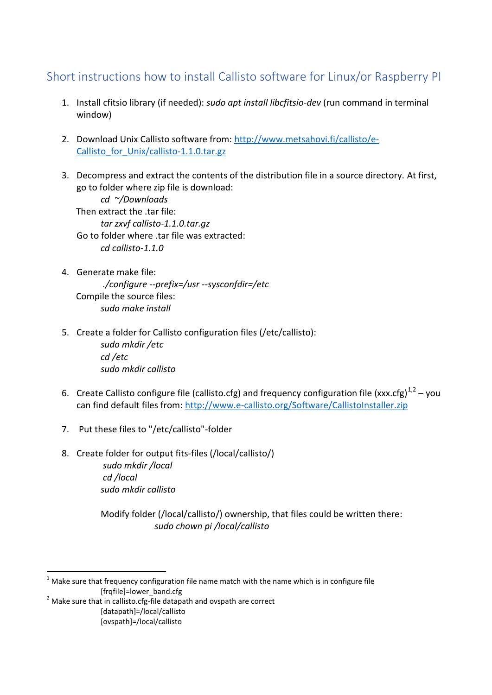## Short instructions how to install Callisto software for Linux/or Raspberry PI

- 1. Install cfitsio library (if needed): *sudo apt install libcfitsio-dev* (run command in terminal window)
- 2. Download Unix Callisto software from: [http://www.metsahovi.fi/callisto/e-](http://www.metsahovi.fi/callisto/e-Callisto_for_Unix/callisto-1.1.0.tar.gz)Callisto for Unix/callisto-1.1.0.tar.gz
- 3. Decompress and extract the contents of the distribution file in a source directory. At first, go to folder where zip file is download:

*cd ~/Downloads* Then extract the .tar file: *tar zxvf callisto-1.1.0.tar.gz* Go to folder where .tar file was extracted: *cd callisto-1.1.0*

- 4. Generate make file: *./configure --prefix=/usr --sysconfdir=/etc* Compile the source files: *sudo make install*
- 5. Create a folder for Callisto configuration files (/etc/callisto): *sudo mkdir /etc cd /etc sudo mkdir callisto*
- 6. Create Callisto configure file (callisto.cfg) and frequency configuration file (xxx.cfg)<sup>1,2</sup> you can find default files from:<http://www.e-callisto.org/Software/CallistoInstaller.zip>
- 7. Put these files to "/etc/callisto"-folder
- 8. Create folder for output fits-files (/local/callisto/) *sudo mkdir /local cd /local sudo mkdir callisto*

Modify folder (/local/callisto/) ownership, that files could be written there: *sudo chown pi /local/callisto*

-

 $1$  Make sure that frequency configuration file name match with the name which is in configure file [frqfile]=lower\_band.cfg

 $2$  Make sure that in callisto.cfg-file datapath and ovspath are correct [datapath]=/local/callisto

<sup>[</sup>ovspath]=/local/callisto